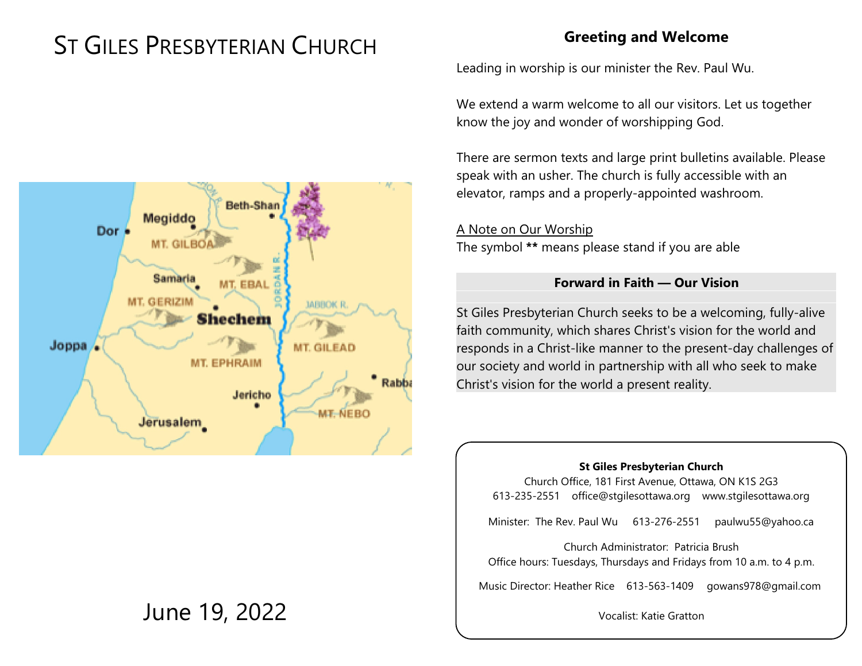# ST GILES PRESBYTERIAN CHURCH

#### **Greeting and Welcome**

Leading in worship is our minister the Rev. Paul Wu.

We extend a warm welcome to all our visitors. Let us together know the joy and wonder of worshipping God.

There are sermon texts and large print bulletins available. Please speak with an usher. The church is fully accessible with an elevator, ramps and a properly-appointed washroom.

A Note on Our Worship The symbol **\*\*** means please stand if you are able

#### **Forward in Faith — Our Vision**

St Giles Presbyterian Church seeks to be a welcoming, fully-alive faith community, which shares Christ's vision for the world and responds in a Christ-like manner to the present-day challenges of our society and world in partnership with all who seek to make Christ's vision for the world a present reality.

#### **St Giles Presbyterian Church**

Church Office, 181 First Avenue, Ottawa, ON K1S 2G3 613-235-2551 office@stgilesottawa.org www.stgilesottawa.org

Minister: The Rev. Paul Wu 613-276-2551 paulwu55@yahoo.ca

Church Administrator: Patricia Brush Office hours: Tuesdays, Thursdays and Fridays from 10 a.m. to 4 p.m.

Music Director: Heather Rice 613-563-1409 gowans978@gmail.com

Vocalist: Katie Gratton



## June 19, 2022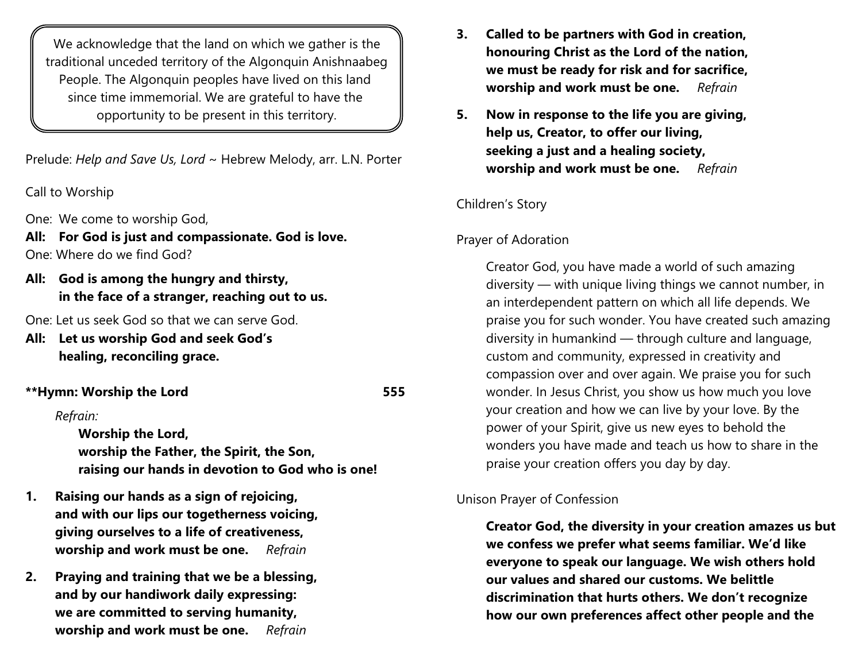We acknowledge that the land on which we gather is the traditional unceded territory of the Algonquin Anishnaabeg People. The Algonquin peoples have lived on this land since time immemorial. We are grateful to have the opportunity to be present in this territory.

Prelude: *Help and Save Us, Lord* ~ Hebrew Melody, arr. L.N. Porter

Call to Worship

One: We come to worship God,

**All: For God is just and compassionate. God is love.** One: Where do we find God?

**All: God is among the hungry and thirsty, in the face of a stranger, reaching out to us.**

One: Let us seek God so that we can serve God.

**All: Let us worship God and seek God's healing, reconciling grace.**

#### **\*\*Hymn: Worship the Lord 555**

#### *Refrain:*

**Worship the Lord, worship the Father, the Spirit, the Son, raising our hands in devotion to God who is one!** 

- **1. Raising our hands as a sign of rejoicing, and with our lips our togetherness voicing, giving ourselves to a life of creativeness, worship and work must be one.** *Refrain*
- **2. Praying and training that we be a blessing, and by our handiwork daily expressing: we are committed to serving humanity, worship and work must be one.** *Refrain*
- **3. Called to be partners with God in creation, honouring Christ as the Lord of the nation, we must be ready for risk and for sacrifice, worship and work must be one.** *Refrain*
- **5. Now in response to the life you are giving, help us, Creator, to offer our living, seeking a just and a healing society, worship and work must be one.** *Refrain*

#### Children's Story

#### Prayer of Adoration

Creator God, you have made a world of such amazing diversity — with unique living things we cannot number, in an interdependent pattern on which all life depends. We praise you for such wonder. You have created such amazing diversity in humankind — through culture and language, custom and community, expressed in creativity and compassion over and over again. We praise you for such wonder. In Jesus Christ, you show us how much you love your creation and how we can live by your love. By the power of your Spirit, give us new eyes to behold the wonders you have made and teach us how to share in the praise your creation offers you day by day.

#### Unison Prayer of Confession

**Creator God, the diversity in your creation amazes us but we confess we prefer what seems familiar. We'd like everyone to speak our language. We wish others hold our values and shared our customs. We belittle discrimination that hurts others. We don't recognize how our own preferences affect other people and the**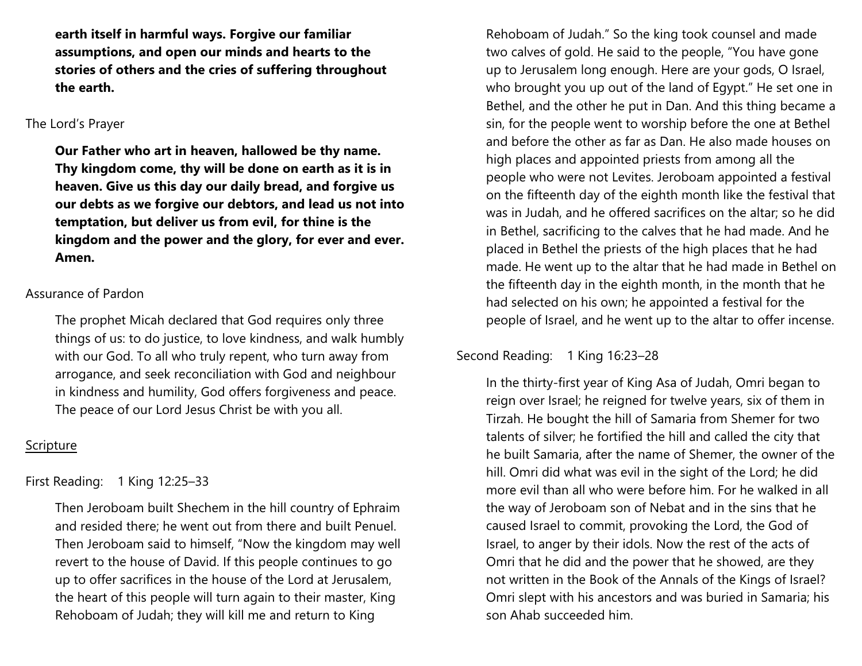**earth itself in harmful ways. Forgive our familiar assumptions, and open our minds and hearts to the stories of others and the cries of suffering throughout the earth.**

#### The Lord's Prayer

**Our Father who art in heaven, hallowed be thy name. Thy kingdom come, thy will be done on earth as it is in heaven. Give us this day our daily bread, and forgive us our debts as we forgive our debtors, and lead us not into temptation, but deliver us from evil, for thine is the kingdom and the power and the glory, for ever and ever. Amen.**

#### Assurance of Pardon

The prophet Micah declared that God requires only three things of us: to do justice, to love kindness, and walk humbly with our God. To all who truly repent, who turn away from arrogance, and seek reconciliation with God and neighbour in kindness and humility, God offers forgiveness and peace. The peace of our Lord Jesus Christ be with you all.

#### Scripture

First Reading: 1 King 12:25–33

Then Jeroboam built Shechem in the hill country of Ephraim and resided there; he went out from there and built Penuel. Then Jeroboam said to himself, "Now the kingdom may well revert to the house of David. If this people continues to go up to offer sacrifices in the house of the Lord at Jerusalem, the heart of this people will turn again to their master, King Rehoboam of Judah; they will kill me and return to King

Rehoboam of Judah." So the king took counsel and made two calves of gold. He said to the people, "You have gone up to Jerusalem long enough. Here are your gods, O Israel, who brought you up out of the land of Egypt." He set one in Bethel, and the other he put in Dan. And this thing became a sin, for the people went to worship before the one at Bethel and before the other as far as Dan. He also made houses on high places and appointed priests from among all the people who were not Levites. Jeroboam appointed a festival on the fifteenth day of the eighth month like the festival that was in Judah, and he offered sacrifices on the altar; so he did in Bethel, sacrificing to the calves that he had made. And he placed in Bethel the priests of the high places that he had made. He went up to the altar that he had made in Bethel on the fifteenth day in the eighth month, in the month that he had selected on his own; he appointed a festival for the people of Israel, and he went up to the altar to offer incense.

#### Second Reading: 1 King 16:23-28

In the thirty-first year of King Asa of Judah, Omri began to reign over Israel; he reigned for twelve years, six of them in Tirzah. He bought the hill of Samaria from Shemer for two talents of silver; he fortified the hill and called the city that he built Samaria, after the name of Shemer, the owner of the hill. Omri did what was evil in the sight of the Lord; he did more evil than all who were before him. For he walked in all the way of Jeroboam son of Nebat and in the sins that he caused Israel to commit, provoking the Lord, the God of Israel, to anger by their idols. Now the rest of the acts of Omri that he did and the power that he showed, are they not written in the Book of the Annals of the Kings of Israel? Omri slept with his ancestors and was buried in Samaria; his son Ahab succeeded him.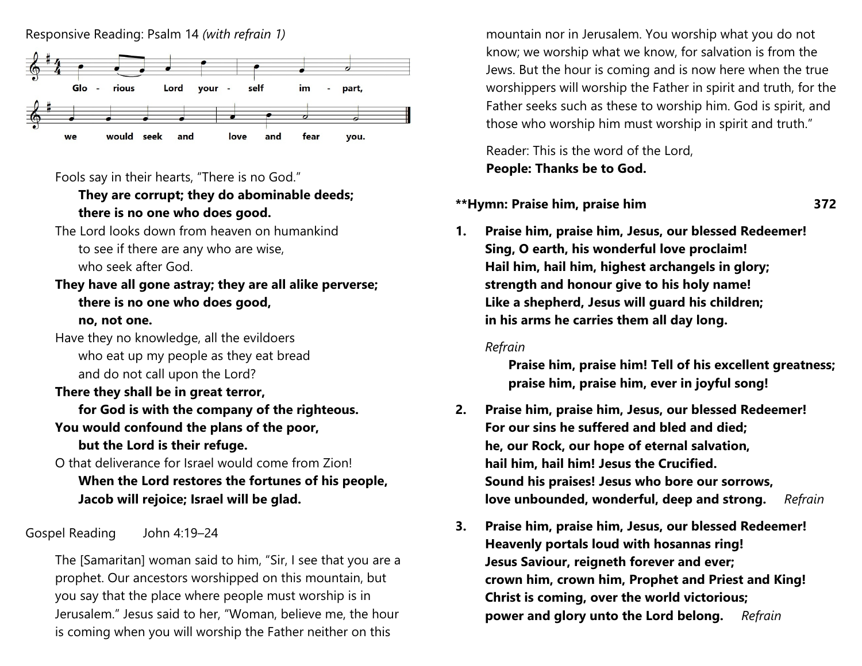



#### Fools say in their hearts, "There is no God."

#### **They are corrupt; they do abominable deeds; there is no one who does good.**

The Lord looks down from heaven on humankind to see if there are any who are wise, who seek after God.

### **They have all gone astray; they are all alike perverse; there is no one who does good,**

#### **no, not one.**

Have they no knowledge, all the evildoers who eat up my people as they eat bread and do not call upon the Lord?

#### **There they shall be in great terror,**

**for God is with the company of the righteous. You would confound the plans of the poor,**

**but the Lord is their refuge.**

O that deliverance for Israel would come from Zion! **When the Lord restores the fortunes of his people, Jacob will rejoice; Israel will be glad.**

#### Gospel Reading John 4:19–24

The [Samaritan] woman said to him, "Sir, I see that you are a prophet. Our ancestors worshipped on this mountain, but you say that the place where people must worship is in Jerusalem." Jesus said to her, "Woman, believe me, the hour is coming when you will worship the Father neither on this

mountain nor in Jerusalem. You worship what you do not know; we worship what we know, for salvation is from the Jews. But the hour is coming and is now here when the true worshippers will worship the Father in spirit and truth, for the Father seeks such as these to worship him. God is spirit, and those who worship him must worship in spirit and truth."

Reader: This is the word of the Lord, **People: Thanks be to God.**

#### **\*\*Hymn: Praise him, praise him 372**

**1. Praise him, praise him, Jesus, our blessed Redeemer! Sing, O earth, his wonderful love proclaim! Hail him, hail him, highest archangels in glory; strength and honour give to his holy name! Like a shepherd, Jesus will guard his children; in his arms he carries them all day long.** 

#### *Refrain*

**Praise him, praise him! Tell of his excellent greatness; praise him, praise him, ever in joyful song!**

- **2. Praise him, praise him, Jesus, our blessed Redeemer! For our sins he suffered and bled and died; he, our Rock, our hope of eternal salvation, hail him, hail him! Jesus the Crucified. Sound his praises! Jesus who bore our sorrows, love unbounded, wonderful, deep and strong.** *Refrain*
- **3. Praise him, praise him, Jesus, our blessed Redeemer! Heavenly portals loud with hosannas ring! Jesus Saviour, reigneth forever and ever; crown him, crown him, Prophet and Priest and King! Christ is coming, over the world victorious; power and glory unto the Lord belong.** *Refrain*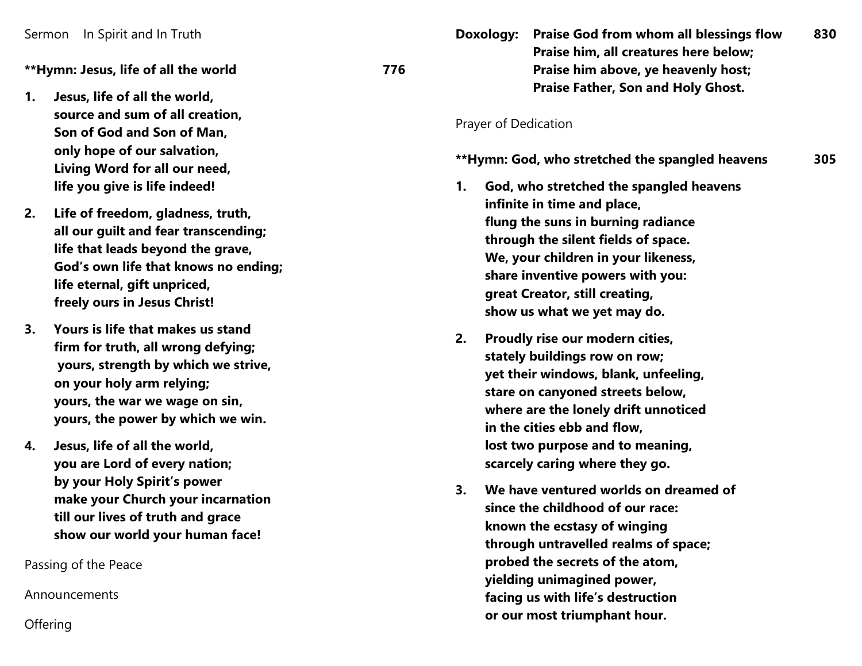**\*\*Hymn: Jesus, life of all the world 77**

- **1. Jesus, life of all the world, source and sum of all creation, Son of God and Son of Man , only hope of our salvation, Living Word for all our need, life you give is life indeed!**
- **2. Life of freedom, gladness, truth, all our gu i lt and fear transcending; life that leads beyond the grave, God's own life that knows no ending; life eternal, gift u npriced, freely ours in Jesus Christ!**
- **3. Yours is life that makes us stand firm for truth, all wrong defying; yours, strength by which we strive, on your holy arm relying; yours, the war we wage on sin, yours, the power by which we win .**
- **4. Jesus, life of all the world, you are Lord of every nation; by your Holy Spirit's power make your Church your incarnation till our lives of truth and grace show our world your human face!**

Passing of the Peace

Announcements

**Offering** 

**Doxology: Praise God from whom all blessings flow Praise him, all creatures here below; Praise him above, ye heavenly host; Praise Father, Son and Holy Ghost.**

#### Prayer of Dedication

**6**

#### **\*\*Hymn: God, who stretched the spangled heaven s 3 0 5**

- **1. God, who stretched the spangled heavens infinite in time and place, flung the suns in burning radiance through the silent fields of space. We, your children in your likeness, share inventive powers with you: great Creator, still creating, show us what we yet may do.**
- **2. Proudly rise our modern cities, stately buildings row on row; yet their windows, blank, u nfeeling,**  stare on canyoned streets below, **where are the lonely drift u n noticed i n the cities ebb and flow, l o st two purpose and to meaning, scarcely caring where they go.**
- **3. We have ventured worlds on dreamed of since the childhood of our race: kn own the ecstasy of winging through u ntravelled realms of space; probed the secrets of the atom, yielding u nimagin ed power, facing us with life's destruction or our most triumphant hour.**